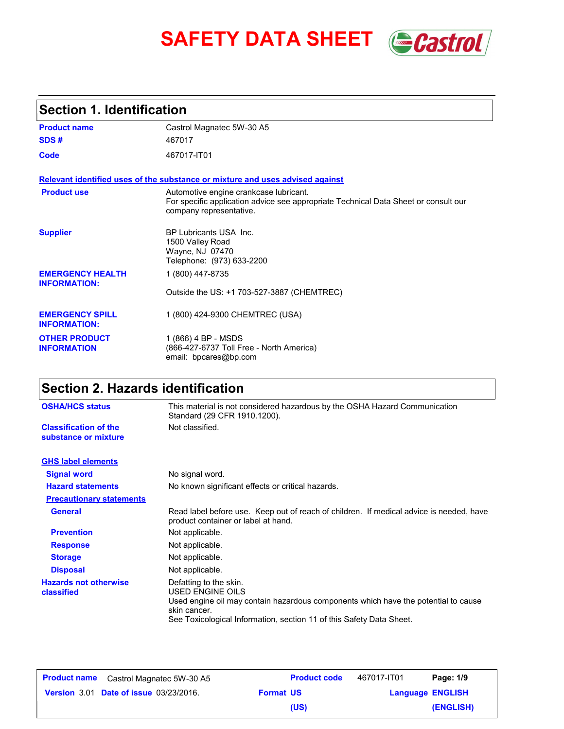# **SAFETY DATA SHEET** *Castrol*



# **Section 1. Identification**

| <b>Product name</b>                            | Castrol Magnatec 5W-30 A5                                                                                                                                |
|------------------------------------------------|----------------------------------------------------------------------------------------------------------------------------------------------------------|
| SDS#                                           | 467017                                                                                                                                                   |
| Code                                           | 467017-IT01                                                                                                                                              |
|                                                | Relevant identified uses of the substance or mixture and uses advised against                                                                            |
| <b>Product use</b>                             | Automotive engine crankcase lubricant.<br>For specific application advice see appropriate Technical Data Sheet or consult our<br>company representative. |
| <b>Supplier</b>                                | BP Lubricants USA Inc.<br>1500 Valley Road<br>Wayne, NJ 07470<br>Telephone: (973) 633-2200                                                               |
| <b>EMERGENCY HEALTH</b><br><b>INFORMATION:</b> | 1 (800) 447-8735                                                                                                                                         |
|                                                | Outside the US: +1 703-527-3887 (CHEMTREC)                                                                                                               |
| <b>EMERGENCY SPILL</b><br><b>INFORMATION:</b>  | 1 (800) 424-9300 CHEMTREC (USA)                                                                                                                          |
| <b>OTHER PRODUCT</b><br><b>INFORMATION</b>     | 1 (866) 4 BP - MSDS<br>(866-427-6737 Toll Free - North America)<br>email: bpcares@bp.com                                                                 |

# **Section 2. Hazards identification**

| <b>OSHA/HCS status</b>                               | This material is not considered hazardous by the OSHA Hazard Communication<br>Standard (29 CFR 1910.1200).                                                                                                               |  |
|------------------------------------------------------|--------------------------------------------------------------------------------------------------------------------------------------------------------------------------------------------------------------------------|--|
| <b>Classification of the</b><br>substance or mixture | Not classified.                                                                                                                                                                                                          |  |
| <b>GHS label elements</b>                            |                                                                                                                                                                                                                          |  |
| <b>Signal word</b>                                   | No signal word.                                                                                                                                                                                                          |  |
| <b>Hazard statements</b>                             | No known significant effects or critical hazards.                                                                                                                                                                        |  |
| <b>Precautionary statements</b>                      |                                                                                                                                                                                                                          |  |
| <b>General</b>                                       | Read label before use. Keep out of reach of children. If medical advice is needed, have<br>product container or label at hand.                                                                                           |  |
| <b>Prevention</b>                                    | Not applicable.                                                                                                                                                                                                          |  |
| <b>Response</b>                                      | Not applicable.                                                                                                                                                                                                          |  |
| <b>Storage</b>                                       | Not applicable.                                                                                                                                                                                                          |  |
| <b>Disposal</b>                                      | Not applicable.                                                                                                                                                                                                          |  |
| <b>Hazards not otherwise</b><br>classified           | Defatting to the skin.<br>USED ENGINE OILS<br>Used engine oil may contain hazardous components which have the potential to cause<br>skin cancer.<br>See Toxicological Information, section 11 of this Safety Data Sheet. |  |

| <b>Product name</b> | Castrol Magnatec 5W-30 A5                     |                  | <b>Product code</b> | 467017-IT01             | Page: 1/9 |
|---------------------|-----------------------------------------------|------------------|---------------------|-------------------------|-----------|
|                     | <b>Version 3.01 Date of issue 03/23/2016.</b> | <b>Format US</b> |                     | <b>Language ENGLISH</b> |           |
|                     |                                               |                  | (US)                |                         | (ENGLISH) |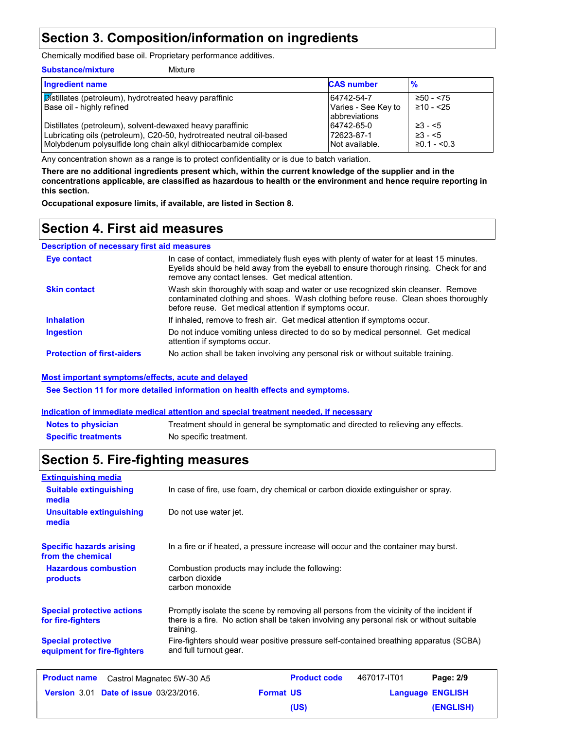### **Section 3. Composition/information on ingredients**

Chemically modified base oil. Proprietary performance additives.

| <b>Substance/mixture</b><br>Mixture                                                                                                                                                                  |                                                     |                                                       |
|------------------------------------------------------------------------------------------------------------------------------------------------------------------------------------------------------|-----------------------------------------------------|-------------------------------------------------------|
| <b>Ingredient name</b>                                                                                                                                                                               | <b>CAS number</b>                                   | $\frac{9}{6}$                                         |
| <b>Distillates (petroleum), hydrotreated heavy paraffinic</b><br>Base oil - highly refined                                                                                                           | 64742-54-7<br>Varies - See Key to<br>labbreviations | $\geq 50 - 575$<br>$\geq 10 - 25$                     |
| Distillates (petroleum), solvent-dewaxed heavy paraffinic<br>Lubricating oils (petroleum), C20-50, hydrotreated neutral oil-based<br>Molybdenum polysulfide long chain alkyl dithiocarbamide complex | 64742-65-0<br>72623-87-1<br>Not available.          | $\geq 3 - 5$<br>$\geq 3 - 5$<br>$\geq 0.1 - \leq 0.3$ |

Any concentration shown as a range is to protect confidentiality or is due to batch variation.

**There are no additional ingredients present which, within the current knowledge of the supplier and in the concentrations applicable, are classified as hazardous to health or the environment and hence require reporting in this section.**

**Occupational exposure limits, if available, are listed in Section 8.**

### **Section 4. First aid measures**

#### **Description of necessary first aid measures**

| Eye contact                       | In case of contact, immediately flush eyes with plenty of water for at least 15 minutes.<br>Eyelids should be held away from the eyeball to ensure thorough rinsing. Check for and<br>remove any contact lenses. Get medical attention. |
|-----------------------------------|-----------------------------------------------------------------------------------------------------------------------------------------------------------------------------------------------------------------------------------------|
| <b>Skin contact</b>               | Wash skin thoroughly with soap and water or use recognized skin cleanser. Remove<br>contaminated clothing and shoes. Wash clothing before reuse. Clean shoes thoroughly<br>before reuse. Get medical attention if symptoms occur.       |
| <b>Inhalation</b>                 | If inhaled, remove to fresh air. Get medical attention if symptoms occur.                                                                                                                                                               |
| <b>Ingestion</b>                  | Do not induce vomiting unless directed to do so by medical personnel. Get medical<br>attention if symptoms occur.                                                                                                                       |
| <b>Protection of first-aiders</b> | No action shall be taken involving any personal risk or without suitable training.                                                                                                                                                      |

#### **Most important symptoms/effects, acute and delayed**

**See Section 11 for more detailed information on health effects and symptoms.**

#### **Indication of immediate medical attention and special treatment needed, if necessary**

| <b>Notes to physician</b>  | Treatment should in general be symptomatic and directed to relieving any effects. |
|----------------------------|-----------------------------------------------------------------------------------|
| <b>Specific treatments</b> | No specific treatment.                                                            |

### **Section 5. Fire-fighting measures**

| <b>Extinguishing media</b>                               |                                                                                                                                                                                                   |                  |                     |             |                         |
|----------------------------------------------------------|---------------------------------------------------------------------------------------------------------------------------------------------------------------------------------------------------|------------------|---------------------|-------------|-------------------------|
| <b>Suitable extinguishing</b><br>media                   | In case of fire, use foam, dry chemical or carbon dioxide extinguisher or spray.                                                                                                                  |                  |                     |             |                         |
| <b>Unsuitable extinguishing</b><br>media                 | Do not use water jet.                                                                                                                                                                             |                  |                     |             |                         |
| <b>Specific hazards arising</b><br>from the chemical     | In a fire or if heated, a pressure increase will occur and the container may burst.                                                                                                               |                  |                     |             |                         |
| <b>Hazardous combustion</b><br><b>products</b>           | Combustion products may include the following:<br>carbon dioxide<br>carbon monoxide                                                                                                               |                  |                     |             |                         |
| <b>Special protective actions</b><br>for fire-fighters   | Promptly isolate the scene by removing all persons from the vicinity of the incident if<br>there is a fire. No action shall be taken involving any personal risk or without suitable<br>training. |                  |                     |             |                         |
| <b>Special protective</b><br>equipment for fire-fighters | Fire-fighters should wear positive pressure self-contained breathing apparatus (SCBA)<br>and full turnout gear.                                                                                   |                  |                     |             |                         |
| <b>Product name</b>                                      | Castrol Magnatec 5W-30 A5                                                                                                                                                                         |                  | <b>Product code</b> | 467017-IT01 | Page: 2/9               |
| <b>Version 3.01 Date of issue 03/23/2016.</b>            |                                                                                                                                                                                                   | <b>Format US</b> |                     |             | <b>Language ENGLISH</b> |
|                                                          |                                                                                                                                                                                                   |                  | (US)                |             | (ENGLISH)               |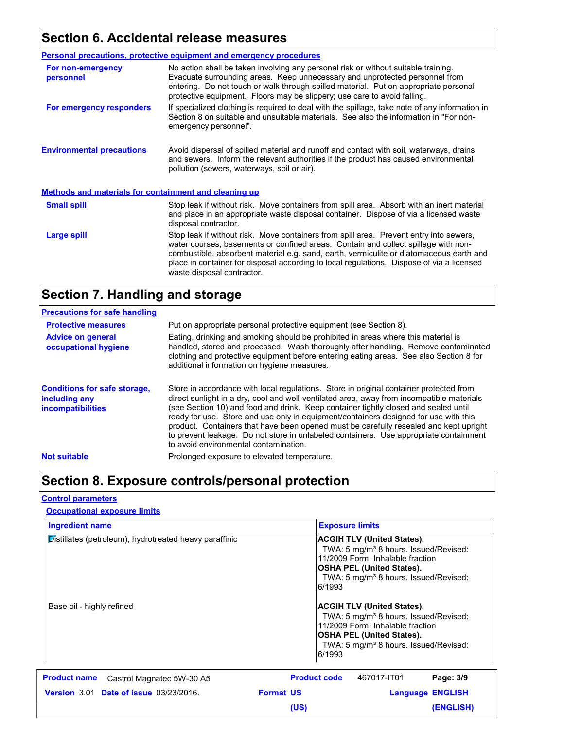# **Section 6. Accidental release measures**

|                                                              | Personal precautions, protective equipment and emergency procedures                                                                                                                                                                                                                                                                                                                                |  |
|--------------------------------------------------------------|----------------------------------------------------------------------------------------------------------------------------------------------------------------------------------------------------------------------------------------------------------------------------------------------------------------------------------------------------------------------------------------------------|--|
| For non-emergency<br>personnel                               | No action shall be taken involving any personal risk or without suitable training.<br>Evacuate surrounding areas. Keep unnecessary and unprotected personnel from<br>entering. Do not touch or walk through spilled material. Put on appropriate personal<br>protective equipment. Floors may be slippery; use care to avoid falling.                                                              |  |
| For emergency responders                                     | If specialized clothing is required to deal with the spillage, take note of any information in<br>Section 8 on suitable and unsuitable materials. See also the information in "For non-<br>emergency personnel".                                                                                                                                                                                   |  |
| <b>Environmental precautions</b>                             | Avoid dispersal of spilled material and runoff and contact with soil, waterways, drains<br>and sewers. Inform the relevant authorities if the product has caused environmental<br>pollution (sewers, waterways, soil or air).                                                                                                                                                                      |  |
| <b>Methods and materials for containment and cleaning up</b> |                                                                                                                                                                                                                                                                                                                                                                                                    |  |
| <b>Small spill</b>                                           | Stop leak if without risk. Move containers from spill area. Absorb with an inert material<br>and place in an appropriate waste disposal container. Dispose of via a licensed waste<br>disposal contractor.                                                                                                                                                                                         |  |
| Large spill                                                  | Stop leak if without risk. Move containers from spill area. Prevent entry into sewers,<br>water courses, basements or confined areas. Contain and collect spillage with non-<br>combustible, absorbent material e.g. sand, earth, vermiculite or diatomaceous earth and<br>place in container for disposal according to local regulations. Dispose of via a licensed<br>waste disposal contractor. |  |

### **Section 7. Handling and storage**

| <b>Precautions for safe handling</b>                                             |                                                                                                                                                                                                                                                                                                                                                                                                                                                                                                                                                                                               |
|----------------------------------------------------------------------------------|-----------------------------------------------------------------------------------------------------------------------------------------------------------------------------------------------------------------------------------------------------------------------------------------------------------------------------------------------------------------------------------------------------------------------------------------------------------------------------------------------------------------------------------------------------------------------------------------------|
| <b>Protective measures</b>                                                       | Put on appropriate personal protective equipment (see Section 8).                                                                                                                                                                                                                                                                                                                                                                                                                                                                                                                             |
| <b>Advice on general</b><br>occupational hygiene                                 | Eating, drinking and smoking should be prohibited in areas where this material is<br>handled, stored and processed. Wash thoroughly after handling. Remove contaminated<br>clothing and protective equipment before entering eating areas. See also Section 8 for<br>additional information on hygiene measures.                                                                                                                                                                                                                                                                              |
| <b>Conditions for safe storage,</b><br>including any<br><i>incompatibilities</i> | Store in accordance with local regulations. Store in original container protected from<br>direct sunlight in a dry, cool and well-ventilated area, away from incompatible materials<br>(see Section 10) and food and drink. Keep container tightly closed and sealed until<br>ready for use. Store and use only in equipment/containers designed for use with this<br>product. Containers that have been opened must be carefully resealed and kept upright<br>to prevent leakage. Do not store in unlabeled containers. Use appropriate containment<br>to avoid environmental contamination. |
| <b>Not suitable</b>                                                              | Prolonged exposure to elevated temperature.                                                                                                                                                                                                                                                                                                                                                                                                                                                                                                                                                   |

# **Section 8. Exposure controls/personal protection**

#### **Control parameters**

#### **Occupational exposure limits**

| <b>Ingredient name</b>                                 | <b>Exposure limits</b>                                                                                                                                                                                                        |  |
|--------------------------------------------------------|-------------------------------------------------------------------------------------------------------------------------------------------------------------------------------------------------------------------------------|--|
| Distillates (petroleum), hydrotreated heavy paraffinic | <b>ACGIH TLV (United States).</b><br>TWA: 5 mg/m <sup>3</sup> 8 hours. Issued/Revised:<br>11/2009 Form: Inhalable fraction<br><b>OSHA PEL (United States).</b><br>TWA: 5 mg/m <sup>3</sup> 8 hours. Issued/Revised:<br>6/1993 |  |
| Base oil - highly refined                              | <b>ACGIH TLV (United States).</b><br>TWA: 5 mg/m <sup>3</sup> 8 hours. Issued/Revised:<br>11/2009 Form: Inhalable fraction<br><b>OSHA PEL (United States).</b><br>TWA: 5 mg/m <sup>3</sup> 8 hours. Issued/Revised:<br>6/1993 |  |
| <b>Product name</b><br>Castrol Magnatec 5W-30 A5       | <b>Product code</b><br>467017-IT01<br>Page: 3/9                                                                                                                                                                               |  |
| <b>Version 3.01 Date of issue 03/23/2016.</b>          | <b>Format US</b><br><b>Language ENGLISH</b>                                                                                                                                                                                   |  |
|                                                        | <b>(ENGLISH)</b><br>(US)                                                                                                                                                                                                      |  |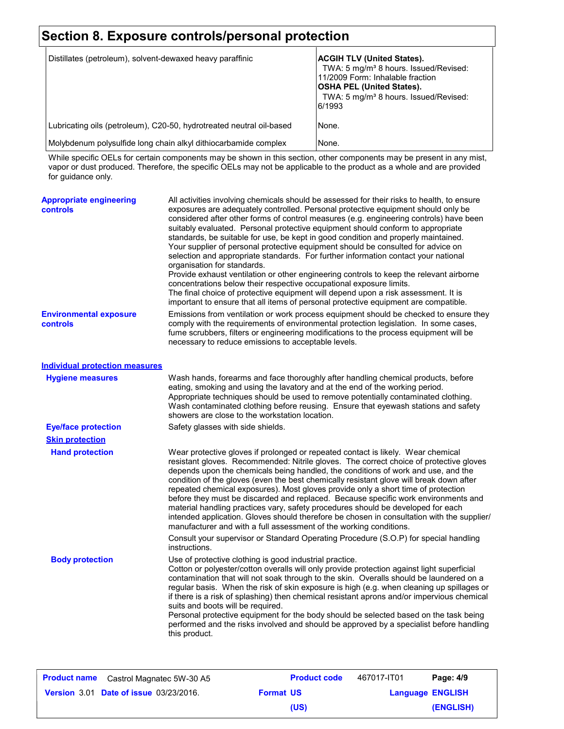# **Section 8. Exposure controls/personal protection**

| Distillates (petroleum), solvent-dewaxed heavy paraffinic            | <b>ACGIH TLV (United States).</b><br>TWA: 5 mg/m <sup>3</sup> 8 hours. Issued/Revised:<br>11/2009 Form: Inhalable fraction<br><b>OSHA PEL (United States).</b><br>TWA: 5 mg/m <sup>3</sup> 8 hours. Issued/Revised:<br>6/1993 |
|----------------------------------------------------------------------|-------------------------------------------------------------------------------------------------------------------------------------------------------------------------------------------------------------------------------|
| Lubricating oils (petroleum), C20-50, hydrotreated neutral oil-based | None.                                                                                                                                                                                                                         |
| Molybdenum polysulfide long chain alkyl dithiocarbamide complex      | None.                                                                                                                                                                                                                         |

While specific OELs for certain components may be shown in this section, other components may be present in any mist, vapor or dust produced. Therefore, the specific OELs may not be applicable to the product as a whole and are provided for guidance only.

| <b>Appropriate engineering</b><br><b>controls</b> | All activities involving chemicals should be assessed for their risks to health, to ensure<br>exposures are adequately controlled. Personal protective equipment should only be<br>considered after other forms of control measures (e.g. engineering controls) have been<br>suitably evaluated. Personal protective equipment should conform to appropriate<br>standards, be suitable for use, be kept in good condition and properly maintained.<br>Your supplier of personal protective equipment should be consulted for advice on<br>selection and appropriate standards. For further information contact your national<br>organisation for standards.<br>Provide exhaust ventilation or other engineering controls to keep the relevant airborne<br>concentrations below their respective occupational exposure limits.<br>The final choice of protective equipment will depend upon a risk assessment. It is<br>important to ensure that all items of personal protective equipment are compatible. |
|---------------------------------------------------|------------------------------------------------------------------------------------------------------------------------------------------------------------------------------------------------------------------------------------------------------------------------------------------------------------------------------------------------------------------------------------------------------------------------------------------------------------------------------------------------------------------------------------------------------------------------------------------------------------------------------------------------------------------------------------------------------------------------------------------------------------------------------------------------------------------------------------------------------------------------------------------------------------------------------------------------------------------------------------------------------------|
| <b>Environmental exposure</b><br>controls         | Emissions from ventilation or work process equipment should be checked to ensure they<br>comply with the requirements of environmental protection legislation. In some cases,<br>fume scrubbers, filters or engineering modifications to the process equipment will be<br>necessary to reduce emissions to acceptable levels.                                                                                                                                                                                                                                                                                                                                                                                                                                                                                                                                                                                                                                                                              |
| <b>Individual protection measures</b>             |                                                                                                                                                                                                                                                                                                                                                                                                                                                                                                                                                                                                                                                                                                                                                                                                                                                                                                                                                                                                            |
| <b>Hygiene measures</b>                           | Wash hands, forearms and face thoroughly after handling chemical products, before<br>eating, smoking and using the lavatory and at the end of the working period.<br>Appropriate techniques should be used to remove potentially contaminated clothing.<br>Wash contaminated clothing before reusing. Ensure that eyewash stations and safety<br>showers are close to the workstation location.                                                                                                                                                                                                                                                                                                                                                                                                                                                                                                                                                                                                            |
| <b>Eye/face protection</b>                        | Safety glasses with side shields.                                                                                                                                                                                                                                                                                                                                                                                                                                                                                                                                                                                                                                                                                                                                                                                                                                                                                                                                                                          |
| <b>Skin protection</b>                            |                                                                                                                                                                                                                                                                                                                                                                                                                                                                                                                                                                                                                                                                                                                                                                                                                                                                                                                                                                                                            |
| <b>Hand protection</b>                            | Wear protective gloves if prolonged or repeated contact is likely. Wear chemical<br>resistant gloves. Recommended: Nitrile gloves. The correct choice of protective gloves<br>depends upon the chemicals being handled, the conditions of work and use, and the<br>condition of the gloves (even the best chemically resistant glove will break down after<br>repeated chemical exposures). Most gloves provide only a short time of protection<br>before they must be discarded and replaced. Because specific work environments and<br>material handling practices vary, safety procedures should be developed for each<br>intended application. Gloves should therefore be chosen in consultation with the supplier/<br>manufacturer and with a full assessment of the working conditions.                                                                                                                                                                                                              |
|                                                   | Consult your supervisor or Standard Operating Procedure (S.O.P) for special handling<br>instructions.                                                                                                                                                                                                                                                                                                                                                                                                                                                                                                                                                                                                                                                                                                                                                                                                                                                                                                      |
| <b>Body protection</b>                            | Use of protective clothing is good industrial practice.<br>Cotton or polyester/cotton overalls will only provide protection against light superficial<br>contamination that will not soak through to the skin. Overalls should be laundered on a<br>regular basis. When the risk of skin exposure is high (e.g. when cleaning up spillages or<br>if there is a risk of splashing) then chemical resistant aprons and/or impervious chemical<br>suits and boots will be required.<br>Personal protective equipment for the body should be selected based on the task being<br>performed and the risks involved and should be approved by a specialist before handling<br>this product.                                                                                                                                                                                                                                                                                                                      |
|                                                   |                                                                                                                                                                                                                                                                                                                                                                                                                                                                                                                                                                                                                                                                                                                                                                                                                                                                                                                                                                                                            |

| <b>Product name</b> Castrol Magnatec 5W-30 A5 |                  | <b>Product code</b> | 467017-IT01 | Page: 4/9               |
|-----------------------------------------------|------------------|---------------------|-------------|-------------------------|
| <b>Version 3.01 Date of issue 03/23/2016.</b> | <b>Format US</b> |                     |             | <b>Language ENGLISH</b> |
|                                               |                  | (US)                |             | (ENGLISH)               |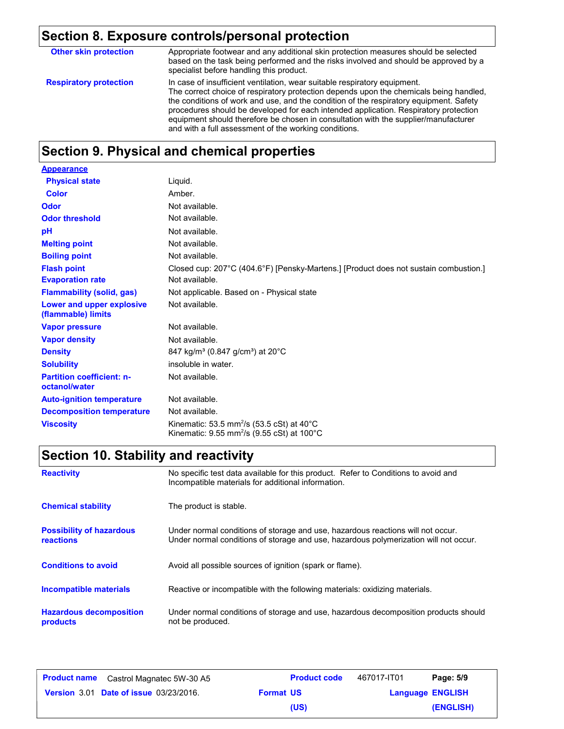# **Section 8. Exposure controls/personal protection**

| <b>Other skin protection</b>  | Appropriate footwear and any additional skin protection measures should be selected<br>based on the task being performed and the risks involved and should be approved by a<br>specialist before handling this product.                                                                                                                                                                                                                                                                               |
|-------------------------------|-------------------------------------------------------------------------------------------------------------------------------------------------------------------------------------------------------------------------------------------------------------------------------------------------------------------------------------------------------------------------------------------------------------------------------------------------------------------------------------------------------|
| <b>Respiratory protection</b> | In case of insufficient ventilation, wear suitable respiratory equipment.<br>The correct choice of respiratory protection depends upon the chemicals being handled.<br>the conditions of work and use, and the condition of the respiratory equipment. Safety<br>procedures should be developed for each intended application. Respiratory protection<br>equipment should therefore be chosen in consultation with the supplier/manufacturer<br>and with a full assessment of the working conditions. |

# **Section 9. Physical and chemical properties**

| <b>Appearance</b>                                 |                                                                                                                                           |
|---------------------------------------------------|-------------------------------------------------------------------------------------------------------------------------------------------|
| <b>Physical state</b>                             | Liquid.                                                                                                                                   |
| <b>Color</b>                                      | Amber.                                                                                                                                    |
| Odor                                              | Not available.                                                                                                                            |
| <b>Odor threshold</b>                             | Not available.                                                                                                                            |
| pH                                                | Not available.                                                                                                                            |
| <b>Melting point</b>                              | Not available.                                                                                                                            |
| <b>Boiling point</b>                              | Not available.                                                                                                                            |
| <b>Flash point</b>                                | Closed cup: 207°C (404.6°F) [Pensky-Martens.] [Product does not sustain combustion.]                                                      |
| <b>Evaporation rate</b>                           | Not available.                                                                                                                            |
| <b>Flammability (solid, gas)</b>                  | Not applicable. Based on - Physical state                                                                                                 |
| Lower and upper explosive<br>(flammable) limits   | Not available.                                                                                                                            |
| <b>Vapor pressure</b>                             | Not available.                                                                                                                            |
| <b>Vapor density</b>                              | Not available.                                                                                                                            |
| <b>Density</b>                                    | 847 kg/m <sup>3</sup> (0.847 g/cm <sup>3</sup> ) at 20°C                                                                                  |
| <b>Solubility</b>                                 | insoluble in water.                                                                                                                       |
| <b>Partition coefficient: n-</b><br>octanol/water | Not available.                                                                                                                            |
| <b>Auto-ignition temperature</b>                  | Not available.                                                                                                                            |
| <b>Decomposition temperature</b>                  | Not available.                                                                                                                            |
| <b>Viscosity</b>                                  | Kinematic: 53.5 mm <sup>2</sup> /s (53.5 cSt) at 40 $^{\circ}$ C<br>Kinematic: $9.55$ mm <sup>2</sup> /s ( $9.55$ cSt) at $100^{\circ}$ C |

# **Section 10. Stability and reactivity**

| <b>Reactivity</b>                                   | No specific test data available for this product. Refer to Conditions to avoid and<br>Incompatible materials for additional information.                                |
|-----------------------------------------------------|-------------------------------------------------------------------------------------------------------------------------------------------------------------------------|
| <b>Chemical stability</b>                           | The product is stable.                                                                                                                                                  |
| <b>Possibility of hazardous</b><br><b>reactions</b> | Under normal conditions of storage and use, hazardous reactions will not occur.<br>Under normal conditions of storage and use, hazardous polymerization will not occur. |
| <b>Conditions to avoid</b>                          | Avoid all possible sources of ignition (spark or flame).                                                                                                                |
| <b>Incompatible materials</b>                       | Reactive or incompatible with the following materials: oxidizing materials.                                                                                             |
| <b>Hazardous decomposition</b><br>products          | Under normal conditions of storage and use, hazardous decomposition products should<br>not be produced.                                                                 |

| <b>Product name</b> Castrol Magnatec 5W-30 A5 |                  | <b>Product code</b> | 467017-IT01             | Page: 5/9 |
|-----------------------------------------------|------------------|---------------------|-------------------------|-----------|
| <b>Version 3.01 Date of issue 03/23/2016.</b> | <b>Format US</b> |                     | <b>Language ENGLISH</b> |           |
|                                               |                  | (US)                |                         | (ENGLISH) |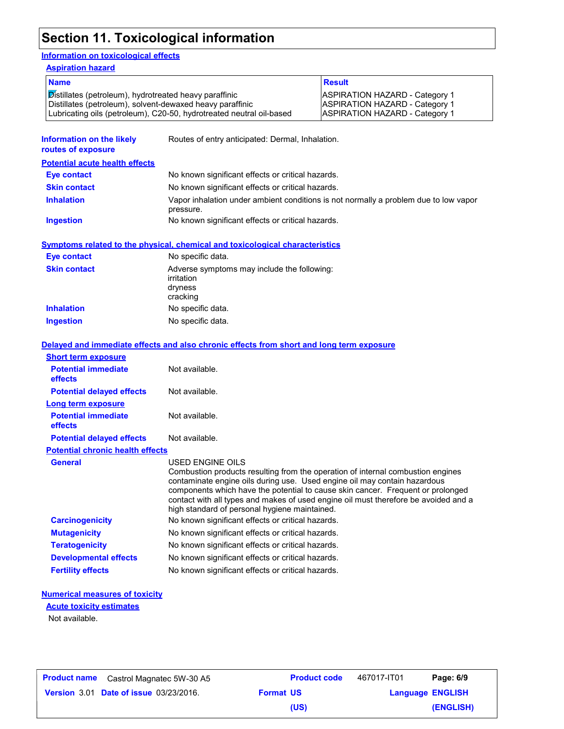# **Section 11. Toxicological information**

#### **Information on toxicological effects**

**Ingestion** No specific data.

**Inhalation** No specific data.

| <b>Aspiration hazard</b>                                                                                                                                                                    |                                                                                                   |                                                                                                                         |  |
|---------------------------------------------------------------------------------------------------------------------------------------------------------------------------------------------|---------------------------------------------------------------------------------------------------|-------------------------------------------------------------------------------------------------------------------------|--|
| <b>Name</b>                                                                                                                                                                                 |                                                                                                   | <b>Result</b>                                                                                                           |  |
| Distillates (petroleum), hydrotreated heavy paraffinic<br>Distillates (petroleum), solvent-dewaxed heavy paraffinic<br>Lubricating oils (petroleum), C20-50, hydrotreated neutral oil-based |                                                                                                   | <b>ASPIRATION HAZARD - Category 1</b><br><b>ASPIRATION HAZARD - Category 1</b><br><b>ASPIRATION HAZARD - Category 1</b> |  |
| Information on the likely<br>routes of exposure                                                                                                                                             | Routes of entry anticipated: Dermal, Inhalation.                                                  |                                                                                                                         |  |
| <b>Potential acute health effects</b>                                                                                                                                                       |                                                                                                   |                                                                                                                         |  |
| Eye contact                                                                                                                                                                                 | No known significant effects or critical hazards.                                                 |                                                                                                                         |  |
| <b>Skin contact</b>                                                                                                                                                                         | No known significant effects or critical hazards.                                                 |                                                                                                                         |  |
| <b>Inhalation</b>                                                                                                                                                                           | Vapor inhalation under ambient conditions is not normally a problem due to low vapor<br>pressure. |                                                                                                                         |  |
| Ingestion                                                                                                                                                                                   | No known significant effects or critical hazards.                                                 |                                                                                                                         |  |
|                                                                                                                                                                                             | Symptoms related to the physical, chemical and toxicological characteristics                      |                                                                                                                         |  |
| Eye contact                                                                                                                                                                                 | No specific data.                                                                                 |                                                                                                                         |  |
| <b>Skin contact</b>                                                                                                                                                                         | Adverse symptoms may include the following:<br>irritation<br>dryness<br>cracking                  |                                                                                                                         |  |

| <b>Short term exposure</b>              |                                                                                                                                                                                                                                                                                                                                                                                                             |
|-----------------------------------------|-------------------------------------------------------------------------------------------------------------------------------------------------------------------------------------------------------------------------------------------------------------------------------------------------------------------------------------------------------------------------------------------------------------|
| <b>Potential immediate</b><br>effects   | Not available.                                                                                                                                                                                                                                                                                                                                                                                              |
| <b>Potential delayed effects</b>        | Not available.                                                                                                                                                                                                                                                                                                                                                                                              |
| <b>Long term exposure</b>               |                                                                                                                                                                                                                                                                                                                                                                                                             |
| <b>Potential immediate</b><br>effects   | Not available.                                                                                                                                                                                                                                                                                                                                                                                              |
| <b>Potential delayed effects</b>        | Not available.                                                                                                                                                                                                                                                                                                                                                                                              |
| <b>Potential chronic health effects</b> |                                                                                                                                                                                                                                                                                                                                                                                                             |
| <b>General</b>                          | USED ENGINE OILS<br>Combustion products resulting from the operation of internal combustion engines<br>contaminate engine oils during use. Used engine oil may contain hazardous<br>components which have the potential to cause skin cancer. Frequent or prolonged<br>contact with all types and makes of used engine oil must therefore be avoided and a<br>high standard of personal hygiene maintained. |
| <b>Carcinogenicity</b>                  | No known significant effects or critical hazards.                                                                                                                                                                                                                                                                                                                                                           |
| <b>Mutagenicity</b>                     | No known significant effects or critical hazards.                                                                                                                                                                                                                                                                                                                                                           |
| <b>Teratogenicity</b>                   | No known significant effects or critical hazards.                                                                                                                                                                                                                                                                                                                                                           |
| <b>Developmental effects</b>            | No known significant effects or critical hazards.                                                                                                                                                                                                                                                                                                                                                           |
| <b>Fertility effects</b>                | No known significant effects or critical hazards.                                                                                                                                                                                                                                                                                                                                                           |

#### **Numerical measures of toxicity**

**Acute toxicity estimates**

Not available.

| <b>Product name</b> | Castrol Magnatec 5W-30 A5                     |                  | <b>Product code</b> | 467017-IT01             | Page: 6/9 |
|---------------------|-----------------------------------------------|------------------|---------------------|-------------------------|-----------|
|                     | <b>Version 3.01 Date of issue 03/23/2016.</b> | <b>Format US</b> |                     | <b>Language ENGLISH</b> |           |
|                     |                                               |                  | (US)                |                         | (ENGLISH) |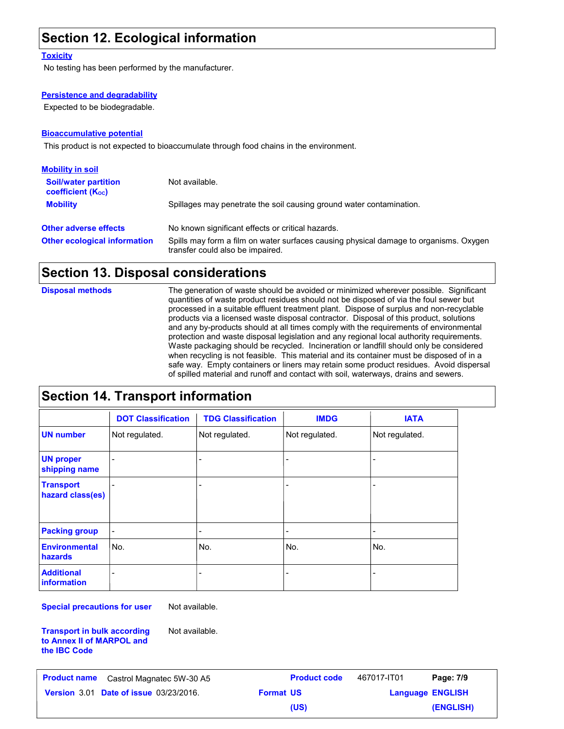### **Section 12. Ecological information**

#### **Toxicity**

No testing has been performed by the manufacturer.

#### **Persistence and degradability**

Expected to be biodegradable.

#### **Bioaccumulative potential**

This product is not expected to bioaccumulate through food chains in the environment.

| <b>Mobility in soil</b>                                 |                                                                                                                           |
|---------------------------------------------------------|---------------------------------------------------------------------------------------------------------------------------|
| <b>Soil/water partition</b><br><b>coefficient (Koc)</b> | Not available.                                                                                                            |
| <b>Mobility</b>                                         | Spillages may penetrate the soil causing ground water contamination.                                                      |
| <b>Other adverse effects</b>                            | No known significant effects or critical hazards.                                                                         |
| <b>Other ecological information</b>                     | Spills may form a film on water surfaces causing physical damage to organisms. Oxygen<br>transfer could also be impaired. |

### **Section 13. Disposal considerations**

The generation of waste should be avoided or minimized wherever possible. Significant quantities of waste product residues should not be disposed of via the foul sewer but processed in a suitable effluent treatment plant. Dispose of surplus and non-recyclable products via a licensed waste disposal contractor. Disposal of this product, solutions and any by-products should at all times comply with the requirements of environmental protection and waste disposal legislation and any regional local authority requirements. Waste packaging should be recycled. Incineration or landfill should only be considered when recycling is not feasible. This material and its container must be disposed of in a safe way. Empty containers or liners may retain some product residues. Avoid dispersal of spilled material and runoff and contact with soil, waterways, drains and sewers. **Disposal methods**

### **Section 14. Transport information**

|                                         | <b>DOT Classification</b> | <b>TDG Classification</b> | <b>IMDG</b>                  | <b>IATA</b>    |
|-----------------------------------------|---------------------------|---------------------------|------------------------------|----------------|
| <b>UN number</b>                        | Not regulated.            | Not regulated.            | Not regulated.               | Not regulated. |
| <b>UN proper</b><br>shipping name       |                           | $\overline{\phantom{0}}$  | -                            |                |
| <b>Transport</b><br>hazard class(es)    |                           | -                         | -                            |                |
| <b>Packing group</b>                    | -                         | $\overline{\phantom{a}}$  | $\qquad \qquad \blacksquare$ |                |
| <b>Environmental</b><br>hazards         | No.                       | No.                       | No.                          | No.            |
| <b>Additional</b><br><b>information</b> |                           | $\overline{\phantom{a}}$  | -                            |                |

**Special precautions for user**

**the IBC Code**

**Transport in bulk according to Annex II of MARPOL and**  Not available.

Not available.

**Date of issue** 03/23/2016. **Format US Example 26 ISS Language ENGLIS Product name** Castrol Magnatec 5W-30 A5 **Product code** 467017-IT01 **Page: 7/9 Language ENGLISH (ENGLISH)** 467017-IT01 **(US)**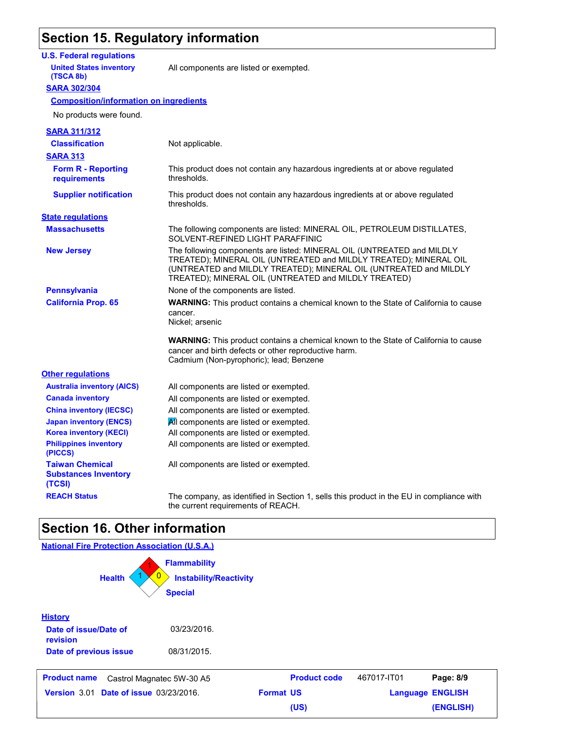### **Section 15. Regulatory information**

#### **U.S. Federal regulations**

**United States inventory** All components are listed or exempted.

#### **SARA 302/304 (TSCA 8b)**

#### **Composition/information on ingredients**

| No products were found.                                         |                                                                                                                                                                                                                                                                          |
|-----------------------------------------------------------------|--------------------------------------------------------------------------------------------------------------------------------------------------------------------------------------------------------------------------------------------------------------------------|
| <b>SARA 311/312</b>                                             |                                                                                                                                                                                                                                                                          |
| <b>Classification</b>                                           | Not applicable.                                                                                                                                                                                                                                                          |
| <b>SARA 313</b>                                                 |                                                                                                                                                                                                                                                                          |
| <b>Form R - Reporting</b><br>requirements                       | This product does not contain any hazardous ingredients at or above regulated<br>thresholds.                                                                                                                                                                             |
| <b>Supplier notification</b>                                    | This product does not contain any hazardous ingredients at or above regulated<br>thresholds.                                                                                                                                                                             |
| <b>State regulations</b>                                        |                                                                                                                                                                                                                                                                          |
| <b>Massachusetts</b>                                            | The following components are listed: MINERAL OIL, PETROLEUM DISTILLATES,<br>SOLVENT-REFINED LIGHT PARAFFINIC                                                                                                                                                             |
| <b>New Jersey</b>                                               | The following components are listed: MINERAL OIL (UNTREATED and MILDLY<br>TREATED); MINERAL OIL (UNTREATED and MILDLY TREATED); MINERAL OIL<br>(UNTREATED and MILDLY TREATED); MINERAL OIL (UNTREATED and MILDLY<br>TREATED); MINERAL OIL (UNTREATED and MILDLY TREATED) |
| <b>Pennsylvania</b>                                             | None of the components are listed.                                                                                                                                                                                                                                       |
| <b>California Prop. 65</b>                                      | <b>WARNING:</b> This product contains a chemical known to the State of California to cause                                                                                                                                                                               |
|                                                                 | cancer.<br>Nickel; arsenic                                                                                                                                                                                                                                               |
|                                                                 | <b>WARNING:</b> This product contains a chemical known to the State of California to cause<br>cancer and birth defects or other reproductive harm.<br>Cadmium (Non-pyrophoric); lead; Benzene                                                                            |
| <b>Other regulations</b>                                        |                                                                                                                                                                                                                                                                          |
| <b>Australia inventory (AICS)</b>                               | All components are listed or exempted.                                                                                                                                                                                                                                   |
| <b>Canada inventory</b>                                         | All components are listed or exempted.                                                                                                                                                                                                                                   |
| <b>China inventory (IECSC)</b>                                  | All components are listed or exempted.                                                                                                                                                                                                                                   |
| <b>Japan inventory (ENCS)</b>                                   | All components are listed or exempted.                                                                                                                                                                                                                                   |
| <b>Korea inventory (KECI)</b>                                   | All components are listed or exempted.                                                                                                                                                                                                                                   |
| <b>Philippines inventory</b><br>(PICCS)                         | All components are listed or exempted.                                                                                                                                                                                                                                   |
| <b>Taiwan Chemical</b><br><b>Substances Inventory</b><br>(TCSI) | All components are listed or exempted.                                                                                                                                                                                                                                   |
| <b>REACH Status</b>                                             | The company, as identified in Section 1, sells this product in the EU in compliance with<br>the current requirements of REACH.                                                                                                                                           |

### **Section 16. Other information**